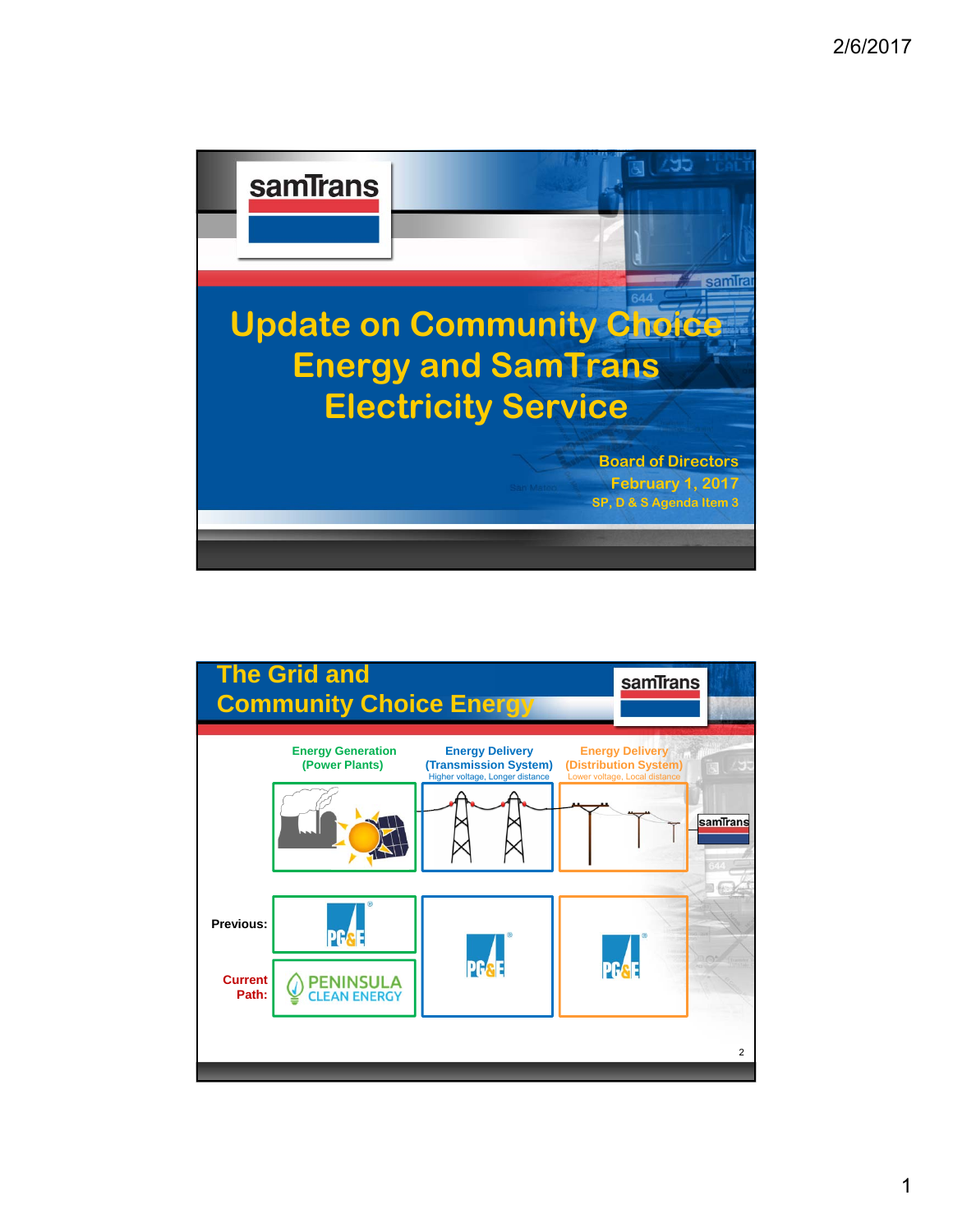

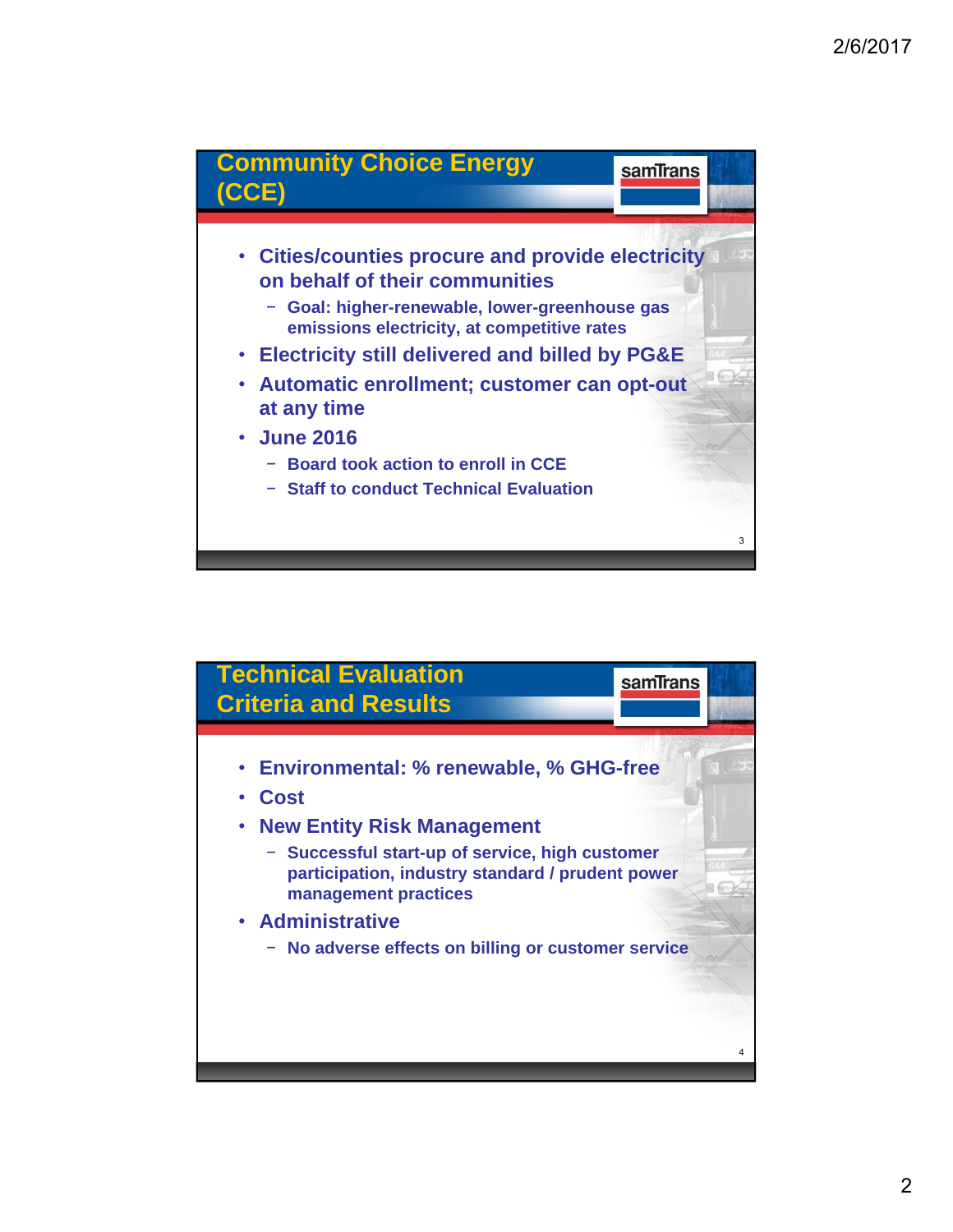

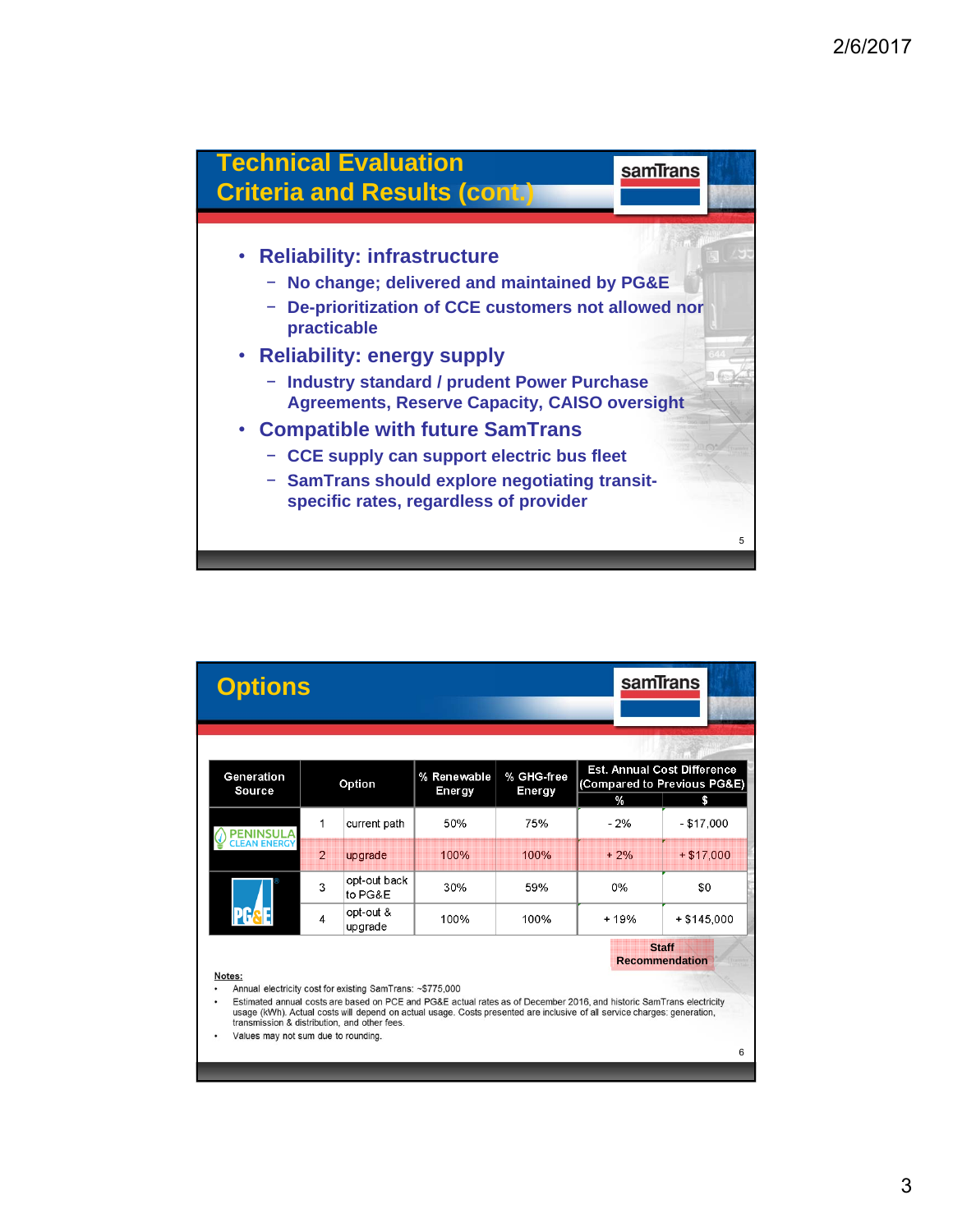

|                                                                                                                                                                                                                                                                                                       | <b>Options</b>                           |                |                         |                       |                      | samTrans                                                                       |              |
|-------------------------------------------------------------------------------------------------------------------------------------------------------------------------------------------------------------------------------------------------------------------------------------------------------|------------------------------------------|----------------|-------------------------|-----------------------|----------------------|--------------------------------------------------------------------------------|--------------|
|                                                                                                                                                                                                                                                                                                       |                                          |                |                         |                       |                      |                                                                                |              |
|                                                                                                                                                                                                                                                                                                       | Generation<br>Source                     | Option         |                         | % Renewable<br>Energy | % GHG-free<br>Energy | <b>Est. Annual Cost Difference</b><br>(Compared to Previous PG&E)<br>$\%$<br>S |              |
|                                                                                                                                                                                                                                                                                                       | <b>FNINSUI</b><br><b>CLEAN ENERG</b>     | 1              | current path            | 50%                   | 75%                  | $-2%$                                                                          | $- $17,000$  |
|                                                                                                                                                                                                                                                                                                       |                                          | $\overline{2}$ | upgrade                 | 100%                  | 100%                 | $+2%$                                                                          | $+ $17.000$  |
|                                                                                                                                                                                                                                                                                                       |                                          | 3              | opt-out back<br>to PG&E | 30%                   | 59%                  | 0%                                                                             | \$0          |
|                                                                                                                                                                                                                                                                                                       |                                          | $\overline{4}$ | opt-out &<br>upgrade    | 100%                  | 100%                 | $+19%$                                                                         | $+ $145,000$ |
| <b>Staff</b><br><b>Recommendation</b>                                                                                                                                                                                                                                                                 |                                          |                |                         |                       |                      |                                                                                |              |
| Notes:<br>Annual electricity cost for existing SamTrans: ~\$775,000                                                                                                                                                                                                                                   |                                          |                |                         |                       |                      |                                                                                |              |
| Estimated annual costs are based on PCE and PG&E actual rates as of December 2016, and historic SamTrans electricity<br>٠<br>usage (kWh). Actual costs will depend on actual usage. Costs presented are inclusive of all service charges; generation,<br>transmission & distribution, and other fees. |                                          |                |                         |                       |                      |                                                                                |              |
|                                                                                                                                                                                                                                                                                                       | Values may not sum due to rounding.<br>6 |                |                         |                       |                      |                                                                                |              |